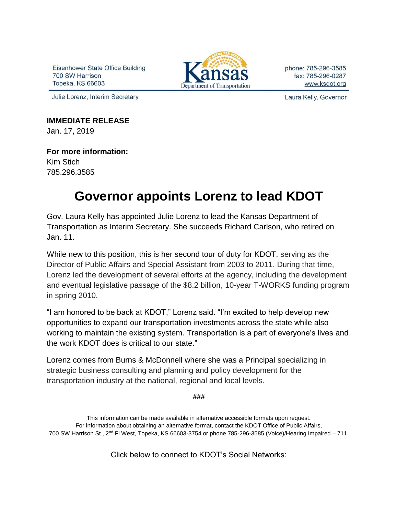Eisenhower State Office Building 700 SW Harrison Topeka, KS 66603



phone: 785-296-3585 fax: 785-296-0287 www.ksdot.org

Julie Lorenz, Interim Secretary

Laura Kelly, Governor

**IMMEDIATE RELEASE** Jan. 17, 2019

**For more information:** Kim Stich 785.296.3585

## **Governor appoints Lorenz to lead KDOT**

Gov. Laura Kelly has appointed Julie Lorenz to lead the Kansas Department of Transportation as Interim Secretary. She succeeds Richard Carlson, who retired on Jan. 11.

While new to this position, this is her second tour of duty for KDOT, serving as the Director of Public Affairs and Special Assistant from 2003 to 2011. During that time, Lorenz led the development of several efforts at the agency, including the development and eventual legislative passage of the \$8.2 billion, 10-year T-WORKS funding program in spring 2010.

"I am honored to be back at KDOT," Lorenz said. "I'm excited to help develop new opportunities to expand our transportation investments across the state while also working to maintain the existing system. Transportation is a part of everyone's lives and the work KDOT does is critical to our state."

Lorenz comes from Burns & McDonnell where she was a Principal specializing in strategic business consulting and planning and policy development for the transportation industry at the national, regional and local levels.

**###**

This information can be made available in alternative accessible formats upon request. For information about obtaining an alternative format, contact the KDOT Office of Public Affairs, 700 SW Harrison St., 2nd Fl West, Topeka, KS 66603-3754 or phone 785-296-3585 (Voice)/Hearing Impaired – 711.

Click below to connect to KDOT's Social Networks: